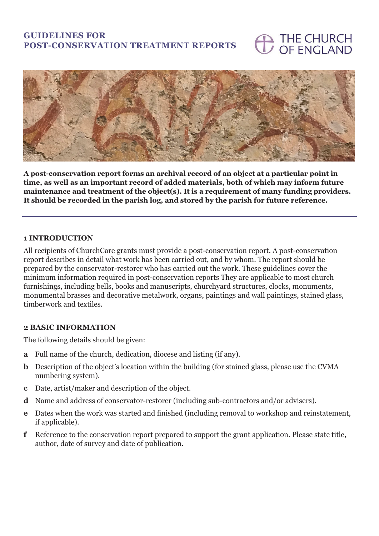# **GUIDELINES FOR POST-CONSERVATION TREATMENT REPORTS**

# THE CHURCH **OF ENGLAND**



**A post-conservation report forms an archival record of an object at a particular point in time, as well as an important record of added materials, both of which may inform future maintenance and treatment of the object(s). It is a requirement of many funding providers. It should be recorded in the parish log, and stored by the parish for future reference.**

#### **1 INTRODUCTION**

All recipients of ChurchCare grants must provide a post-conservation report. A post-conservation report describes in detail what work has been carried out, and by whom. The report should be prepared by the conservator-restorer who has carried out the work. These guidelines cover the minimum information required in post-conservation reports They are applicable to most church furnishings, including bells, books and manuscripts, churchyard structures, clocks, monuments, monumental brasses and decorative metalwork, organs, paintings and wall paintings, stained glass, timberwork and textiles.

#### **2 BASIC INFORMATION**

The following details should be given:

- **a** Full name of the church, dedication, diocese and listing (if any).
- **b** Description of the object's location within the building (for stained glass, please use the CVMA numbering system).
- **c** Date, artist/maker and description of the object.
- **d** Name and address of conservator-restorer (including sub-contractors and/or advisers).
- **e** Dates when the work was started and finished (including removal to workshop and reinstatement, if applicable).
- **f** Reference to the conservation report prepared to support the grant application. Please state title, author, date of survey and date of publication.